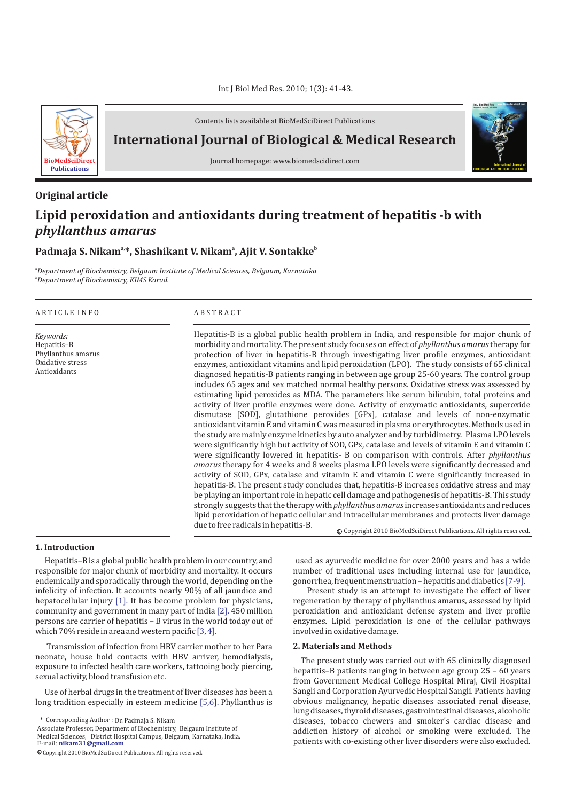

Contents lists available at BioMedSciDirect Publications

**International Journal of Biological & Medical Research** 



#### **Original article**

# **International Journal of BIOLOGICAL AND MEDICAL RESEARCH Volume 3, Issue 3, July 2010**

**Int J Biol Med Res www.biomedscidirect.com**

## **Lipid peroxidation and antioxidants during treatment of hepatitis -b with**  *phyllanthus amarus*

### **a, a b Padmaja S. Nikam \*, Shashikant V. Nikam , Ajit V. Sontakke**

*a Department of Biochemistry, Belgaum Institute of Medical Sciences, Belgaum, Karnataka b Department of Biochemistry, KIMS Karad.*

#### A R T I C L E I N F O A B S T R A C T

*Keywords:* Hepatitis–B Phyllanthus amarus Oxidative stress Antioxidants

Hepatitis-B is a global public health problem in India, and responsible for major chunk of morbidity and mortality. The present study focuses on effect of *phyllanthus amarus* therapy for protection of liver in hepatitis-B through investigating liver profile enzymes, antioxidant enzymes, antioxidant vitamins and lipid peroxidation (LPO). The study consists of 65 clinical diagnosed hepatitis-B patients ranging in between age group 25-60 years. The control group includes 65 ages and sex matched normal healthy persons. Oxidative stress was assessed by estimating lipid peroxides as MDA. The parameters like serum bilirubin, total proteins and activity of liver profile enzymes were done. Activity of enzymatic antioxidants, superoxide dismutase [SOD], glutathione peroxides [GPx], catalase and levels of non-enzymatic antioxidant vitamin E and vitamin C was measured in plasma or erythrocytes. Methods used in the study are mainly enzyme kinetics by auto analyzer and by turbidimetry. Plasma LPO levels were significantly high but activity of SOD, GPx, catalase and levels of vitamin E and vitamin C were significantly lowered in hepatitis- B on comparison with controls. After *phyllanthus amarus* therapy for 4 weeks and 8 weeks plasma LPO levels were significantly decreased and activity of SOD, GPx, catalase and vitamin E and vitamin C were significantly increased in hepatitis-B. The present study concludes that, hepatitis-B increases oxidative stress and may be playing an important role in hepatic cell damage and pathogenesis of hepatitis-B. This study strongly suggests that the therapy with *phyllanthus amarus*increases antioxidants and reduces lipid peroxidation of hepatic cellular and intracellular membranes and protects liver damage due to free radicals in hepatitis-B. © Copyright 2010 BioMedSciDirect Publications. All rights reserved.

#### **1. Introduction**

ł

Hepatitis–B is a global public health problem in our country, and responsible for major chunk of morbidity and mortality. It occurs endemically and sporadically through the world, depending on the infelicity of infection. It accounts nearly 90% of all jaundice and hepatocellular injury [1]. It has become problem for physicians, community and government in many part of India [2]. 450 million persons are carrier of hepatitis – B virus in the world today out of which 70% reside in area and western pacific [3, 4].

Transmission of infection from HBV carrier mother to her Para neonate, house hold contacts with HBV arriver, hemodialysis, exposure to infected health care workers, tattooing body piercing, sexual activity, blood transfusion etc.

Use of herbal drugs in the treatment of liver diseases has been a long tradition especially in esteem medicine [5,6]. Phyllanthus is

used as ayurvedic medicine for over 2000 years and has a wide number of traditional uses including internal use for jaundice, gonorrhea, frequent menstruation – hepatitis and diabetics [7-9].

Present study is an attempt to investigate the effect of liver regeneration by therapy of phyllanthus amarus, assessed by lipid peroxidation and antioxidant defense system and liver profile enzymes. Lipid peroxidation is one of the cellular pathways involved in oxidative damage.

#### **2. Materials and Methods**

The present study was carried out with 65 clinically diagnosed hepatitis–B patients ranging in between age group 25 – 60 years from Government Medical College Hospital Miraj, Civil Hospital Sangli and Corporation Ayurvedic Hospital Sangli. Patients having obvious malignancy, hepatic diseases associated renal disease, lung diseases, thyroid diseases, gastrointestinal diseases, alcoholic diseases, tobacco chewers and smoker's cardiac disease and addiction history of alcohol or smoking were excluded. The patients with co-existing other liver disorders were also excluded.

<sup>\*</sup> Corresponding Author : Dr. Padmaja S. Nikam

E-mail: **nikam31@gmail.com** Associate Professor, Department of Biochemistry, Belgaum Institute of Medical Sciences, District Hospital Campus, Belgaum, Karnataka, India.

<sup>©</sup> Copyright 2010 BioMedSciDirect Publications. All rights reserved.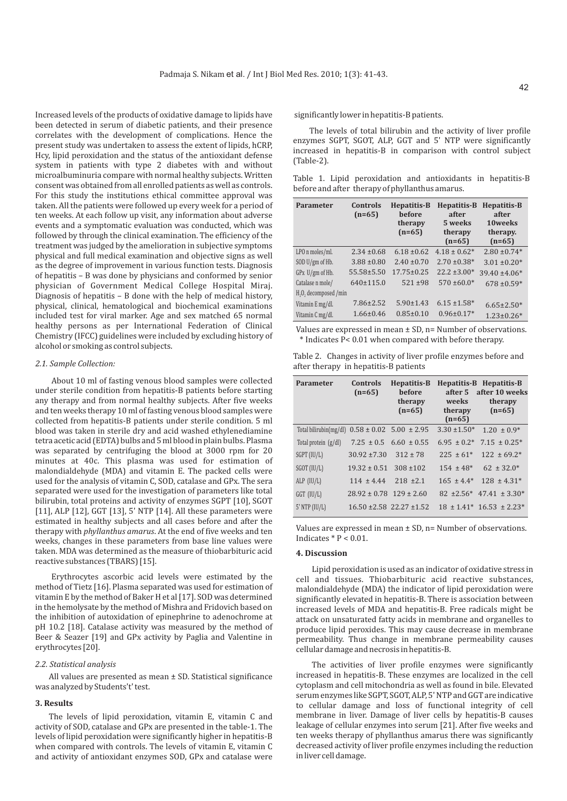Increased levels of the products of oxidative damage to lipids have been detected in serum of diabetic patients, and their presence correlates with the development of complications. Hence the present study was undertaken to assess the extent of lipids, hCRP, Hcy, lipid peroxidation and the status of the antioxidant defense system in patients with type 2 diabetes with and without microalbuminuria compare with normal healthy subjects. Written consent was obtained from all enrolled patients as well as controls. For this study the institutions ethical committee approval was taken. All the patients were followed up every week for a period of ten weeks. At each follow up visit, any information about adverse events and a symptomatic evaluation was conducted, which was followed by through the clinical examination. The efficiency of the treatment was judged by the amelioration in subjective symptoms physical and full medical examination and objective signs as well as the degree of improvement in various function tests. Diagnosis of hepatitis – B was done by physicians and conformed by senior physician of Government Medical College Hospital Miraj. Diagnosis of hepatitis – B done with the help of medical history, physical, clinical, hematological and biochemical examinations included test for viral marker. Age and sex matched 65 normal healthy persons as per International Federation of Clinical Chemistry (IFCC) guidelines were included by excluding history of alcohol or smoking as control subjects.

#### *2.1. Sample Collection:*

About 10 ml of fasting venous blood samples were collected under sterile condition from hepatitis-B patients before starting any therapy and from normal healthy subjects. After five weeks and ten weeks therapy 10 ml of fasting venous blood samples were collected from hepatitis-B patients under sterile condition. 5 ml blood was taken in sterile dry and acid washed ethylenediamine tetra acetic acid (EDTA) bulbs and 5 ml blood in plain bulbs. Plasma was separated by centrifuging the blood at 3000 rpm for 20 minutes at 40c. This plasma was used for estimation of malondialdehyde (MDA) and vitamin E. The packed cells were used for the analysis of vitamin C, SOD, catalase and GPx. The sera separated were used for the investigation of parameters like total bilirubin, total proteins and activity of enzymes SGPT [10], SGOT [11], ALP [12], GGT [13], 5' NTP [14]. All these parameters were estimated in healthy subjects and all cases before and after the therapy with *phyllanthus amarus*. At the end of five weeks and ten weeks, changes in these parameters from base line values were taken. MDA was determined as the measure of thiobarbituric acid reactive substances (TBARS) [15].

Erythrocytes ascorbic acid levels were estimated by the method of Tietz [16]. Plasma separated was used for estimation of vitamin E by the method of Baker H et al [17]. SOD was determined in the hemolysate by the method of Mishra and Fridovich based on the inhibition of autoxidation of epinephrine to adenochrome at pH 10.2 [18]. Catalase activity was measured by the method of Beer & Seazer [19] and GPx activity by Paglia and Valentine in erythrocytes [20].

#### *2.2. Statistical analysis*

All values are presented as mean ± SD. Statistical significance was analyzed by Students't' test.

#### **3. Results**

The levels of lipid peroxidation, vitamin E, vitamin C and activity of SOD, catalase and GPx are presented in the table-1. The levels of lipid peroxidation were significantly higher in hepatitis-B when compared with controls. The levels of vitamin E, vitamin C and activity of antioxidant enzymes SOD, GPx and catalase were

significantly lower in hepatitis-B patients.

The levels of total bilirubin and the activity of liver profile enzymes SGPT, SGOT, ALP, GGT and 5' NTP were significantly increased in hepatitis-B in comparison with control subject (Table-2).

Table 1. Lipid peroxidation and antioxidants in hepatitis-B before and after therapy of phyllanthus amarus.

| <b>Parameter</b>                              | <b>Controls</b><br>$(n=65)$ | Hepatitis-B<br>before<br>therapy<br>$(n=65)$ | Hepatitis-B<br>after<br>5 weeks<br>therapy<br>$(n=65)$ | Hepatitis-B<br>after<br>10weeks<br>therapy.<br>$(n=65)$ |
|-----------------------------------------------|-----------------------------|----------------------------------------------|--------------------------------------------------------|---------------------------------------------------------|
| LPO n moles/ml.                               | $2.34 \pm 0.68$             | $6.18 \pm 0.62$                              | $4.18 \pm 0.62^*$                                      | $2.80 \pm 0.74*$                                        |
| SOD U/gm of Hb.                               | $3.88 \pm 0.80$             | $2.40 \pm 0.70$                              | $2.70 \pm 0.38*$                                       | $3.01 \pm 0.20*$                                        |
| GPx U/gm of Hb.                               | $55.58 \pm 5.50$            | $17.75 \pm 0.25$                             | $22.2 \pm 3.00*$                                       | $39.40 \pm 4.06*$                                       |
| Catalase n mole/                              | 640±115.0                   | $521 \pm 98$                                 | $570 \pm 60.0*$                                        | $678 \pm 0.59*$                                         |
| H <sub>2</sub> O <sub>2</sub> decomposed /min |                             |                                              |                                                        |                                                         |
| Vitamin E mg/dl.                              | $7.86 \pm 2.52$             | $5.90 \pm 1.43$                              | $6.15 \pm 1.58$ <sup>*</sup>                           | $6.65 \pm 2.50*$                                        |
| Vitamin C mg/dl.                              | $1.66 \pm 0.46$             | $0.85 \pm 0.10$                              | $0.96 \pm 0.17*$                                       | $1.23 \pm 0.26*$                                        |

Values are expressed in mean ± SD, n= Number of observations. \* Indicates P< 0.01 when compared with before therapy.

| Table 2. Changes in activity of liver profile enzymes before and |  |  |
|------------------------------------------------------------------|--|--|
| after therapy in hepatitis-B patients                            |  |  |

| <b>Parameter</b>       | <b>Controls</b><br>$(n=65)$     | Hepatitis-B<br>before<br>therapy<br>$(n=65)$ | after 5<br>weeks<br>therapy<br>$(n=65)$ | Hepatitis-B Hepatitis-B<br>after 10 weeks<br>therapy<br>$(n=65)$ |
|------------------------|---------------------------------|----------------------------------------------|-----------------------------------------|------------------------------------------------------------------|
| Total bilirubin(mg/dl) |                                 | $0.58 \pm 0.02$ 5.00 $\pm 2.95$              | $3.30 \pm 1.50^*$                       | $1.20 \pm 0.9^*$                                                 |
| Total protein (g/dl)   |                                 | $7.25 \pm 0.5$ 6.60 $\pm 0.55$               | $6.95 \pm 0.2^*$                        | $7.15 \pm 0.25^*$                                                |
| SGPT (IU/L)            | $30.92 \pm 7.30$                | $312 + 78$                                   | $225 \pm 61*$                           | $122 \pm 69.2^*$                                                 |
| $SGOT$ (IU/L)          | $19.32 \pm 0.51$                | $308 + 102$                                  | $154 \pm 48^*$                          | $62 \pm 32.0^*$                                                  |
| ALP $(IU/L)$           | $114 + 4.44$                    | $218 \pm 2.1$                                | $165 \pm 4.4^*$                         | $128 \pm 4.31*$                                                  |
| $GGT$ $(IU/L)$         | $28.92 \pm 0.78$ 129 $\pm 2.60$ |                                              |                                         | $82 \pm 2.56^*$ 47.41 $\pm 3.30^*$                               |
| $5'$ NTP (IU/L)        |                                 | $16.50 \pm 2.58$ 22.27 $\pm 1.52$            |                                         | $18 \pm 1.41^*$ 16.53 $\pm 2.23^*$                               |

Values are expressed in mean ± SD, n= Number of observations. Indicates  $* P < 0.01$ .

#### **4. Discussion**

Lipid peroxidation is used as an indicator of oxidative stress in cell and tissues. Thiobarbituric acid reactive substances, malondialdehyde (MDA) the indicator of lipid peroxidation were significantly elevated in hepatitis-B. There is association between increased levels of MDA and hepatitis-B. Free radicals might be attack on unsaturated fatty acids in membrane and organelles to produce lipid peroxides. This may cause decrease in membrane permeability. Thus change in membrane permeability causes cellular damage and necrosis in hepatitis-B.

The activities of liver profile enzymes were significantly increased in hepatitis-B. These enzymes are localized in the cell cytoplasm and cell mitochondria as well as found in bile. Elevated serum enzymes like SGPT, SGOT, ALP, 5' NTP and GGT are indicative to cellular damage and loss of functional integrity of cell membrane in liver. Damage of liver cells by hepatitis-B causes leakage of cellular enzymes into serum [21]. After five weeks and ten weeks therapy of phyllanthus amarus there was significantly decreased activity of liver profile enzymes including the reduction in liver cell damage.